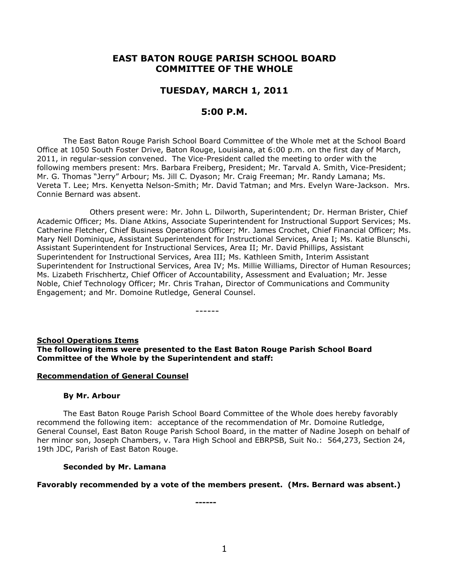# **EAST BATON ROUGE PARISH SCHOOL BOARD COMMITTEE OF THE WHOLE**

# **TUESDAY, MARCH 1, 2011**

# **5:00 P.M.**

The East Baton Rouge Parish School Board Committee of the Whole met at the School Board Office at 1050 South Foster Drive, Baton Rouge, Louisiana, at 6:00 p.m. on the first day of March, 2011, in regular-session convened. The Vice-President called the meeting to order with the following members present: Mrs. Barbara Freiberg, President; Mr. Tarvald A. Smith, Vice-President; Mr. G. Thomas "Jerry" Arbour; Ms. Jill C. Dyason; Mr. Craig Freeman; Mr. Randy Lamana; Ms. Vereta T. Lee; Mrs. Kenyetta Nelson-Smith; Mr. David Tatman; and Mrs. Evelyn Ware-Jackson. Mrs. Connie Bernard was absent.

Others present were: Mr. John L. Dilworth, Superintendent; Dr. Herman Brister, Chief Academic Officer; Ms. Diane Atkins, Associate Superintendent for Instructional Support Services; Ms. Catherine Fletcher, Chief Business Operations Officer; Mr. James Crochet, Chief Financial Officer; Ms. Mary Nell Dominique, Assistant Superintendent for Instructional Services, Area I; Ms. Katie Blunschi, Assistant Superintendent for Instructional Services, Area II; Mr. David Phillips, Assistant Superintendent for Instructional Services, Area III; Ms. Kathleen Smith, Interim Assistant Superintendent for Instructional Services, Area IV; Ms. Millie Williams, Director of Human Resources; Ms. Lizabeth Frischhertz, Chief Officer of Accountability, Assessment and Evaluation; Mr. Jesse Noble, Chief Technology Officer; Mr. Chris Trahan, Director of Communications and Community Engagement; and Mr. Domoine Rutledge, General Counsel.

------

### **School Operations Items The following items were presented to the East Baton Rouge Parish School Board Committee of the Whole by the Superintendent and staff:**

#### **Recommendation of General Counsel**

#### **By Mr. Arbour**

The East Baton Rouge Parish School Board Committee of the Whole does hereby favorably recommend the following item: acceptance of the recommendation of Mr. Domoine Rutledge, General Counsel, East Baton Rouge Parish School Board, in the matter of Nadine Joseph on behalf of her minor son, Joseph Chambers, v. Tara High School and EBRPSB, Suit No.: 564,273, Section 24, 19th JDC, Parish of East Baton Rouge.

#### **Seconded by Mr. Lamana**

#### **Favorably recommended by a vote of the members present. (Mrs. Bernard was absent.)**

**------**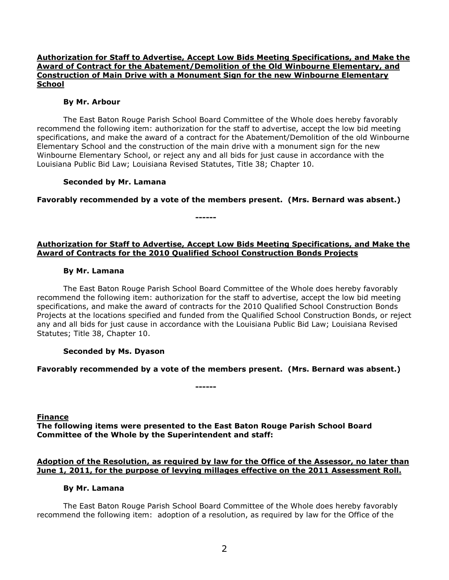### **Authorization for Staff to Advertise, Accept Low Bids Meeting Specifications, and Make the Award of Contract for the Abatement/Demolition of the Old Winbourne Elementary, and Construction of Main Drive with a Monument Sign for the new Winbourne Elementary School**

#### **By Mr. Arbour**

The East Baton Rouge Parish School Board Committee of the Whole does hereby favorably recommend the following item: authorization for the staff to advertise, accept the low bid meeting specifications, and make the award of a contract for the Abatement/Demolition of the old Winbourne Elementary School and the construction of the main drive with a monument sign for the new Winbourne Elementary School, or reject any and all bids for just cause in accordance with the Louisiana Public Bid Law; Louisiana Revised Statutes, Title 38; Chapter 10.

### **Seconded by Mr. Lamana**

**Favorably recommended by a vote of the members present. (Mrs. Bernard was absent.)**

**------**

### **Authorization for Staff to Advertise, Accept Low Bids Meeting Specifications, and Make the Award of Contracts for the 2010 Qualified School Construction Bonds Projects**

#### **By Mr. Lamana**

The East Baton Rouge Parish School Board Committee of the Whole does hereby favorably recommend the following item: authorization for the staff to advertise, accept the low bid meeting specifications, and make the award of contracts for the 2010 Qualified School Construction Bonds Projects at the locations specified and funded from the Qualified School Construction Bonds, or reject any and all bids for just cause in accordance with the Louisiana Public Bid Law; Louisiana Revised Statutes; Title 38, Chapter 10.

### **Seconded by Ms. Dyason**

### **Favorably recommended by a vote of the members present. (Mrs. Bernard was absent.)**

**Finance The following items were presented to the East Baton Rouge Parish School Board Committee of the Whole by the Superintendent and staff:**

**------**

### **Adoption of the Resolution, as required by law for the Office of the Assessor, no later than June 1, 2011, for the purpose of levying millages effective on the 2011 Assessment Roll.**

#### **By Mr. Lamana**

The East Baton Rouge Parish School Board Committee of the Whole does hereby favorably recommend the following item: adoption of a resolution, as required by law for the Office of the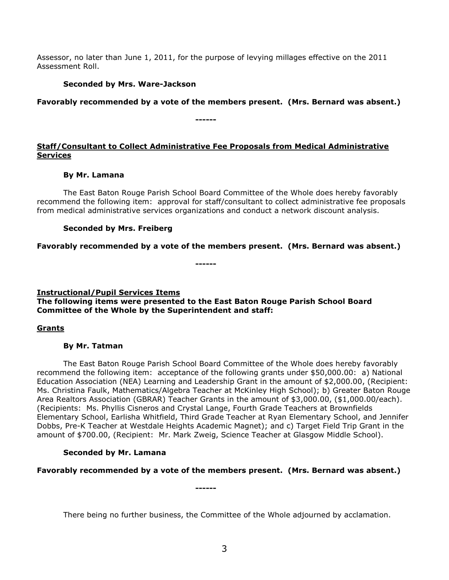Assessor, no later than June 1, 2011, for the purpose of levying millages effective on the 2011 Assessment Roll.

### **Seconded by Mrs. Ware-Jackson**

**Favorably recommended by a vote of the members present. (Mrs. Bernard was absent.)**

### **Staff/Consultant to Collect Administrative Fee Proposals from Medical Administrative Services**

**------**

### **By Mr. Lamana**

The East Baton Rouge Parish School Board Committee of the Whole does hereby favorably recommend the following item: approval for staff/consultant to collect administrative fee proposals from medical administrative services organizations and conduct a network discount analysis.

### **Seconded by Mrs. Freiberg**

**Favorably recommended by a vote of the members present. (Mrs. Bernard was absent.)**

**------**

# **Instructional/Pupil Services Items The following items were presented to the East Baton Rouge Parish School Board Committee of the Whole by the Superintendent and staff:**

# **Grants**

### **By Mr. Tatman**

The East Baton Rouge Parish School Board Committee of the Whole does hereby favorably recommend the following item: acceptance of the following grants under \$50,000.00: a) National Education Association (NEA) Learning and Leadership Grant in the amount of \$2,000.00, (Recipient: Ms. Christina Faulk, Mathematics/Algebra Teacher at McKinley High School); b) Greater Baton Rouge Area Realtors Association (GBRAR) Teacher Grants in the amount of \$3,000.00, (\$1,000.00/each). (Recipients: Ms. Phyllis Cisneros and Crystal Lange, Fourth Grade Teachers at Brownfields Elementary School, Earlisha Whitfield, Third Grade Teacher at Ryan Elementary School, and Jennifer Dobbs, Pre-K Teacher at Westdale Heights Academic Magnet); and c) Target Field Trip Grant in the amount of \$700.00, (Recipient: Mr. Mark Zweig, Science Teacher at Glasgow Middle School).

# **Seconded by Mr. Lamana**

# **Favorably recommended by a vote of the members present. (Mrs. Bernard was absent.)**

**------**

There being no further business, the Committee of the Whole adjourned by acclamation.